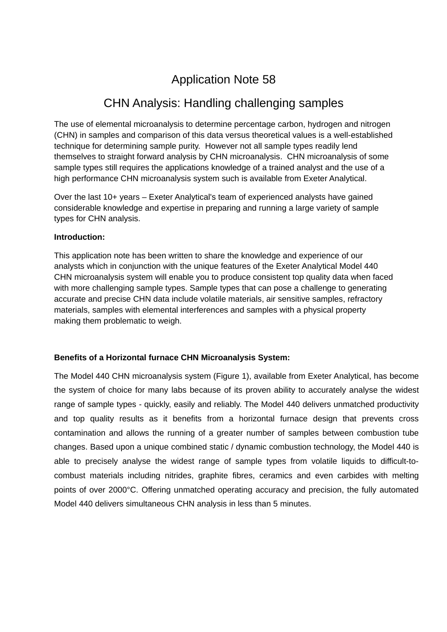# Application Note 58

## CHN Analysis: Handling challenging samples

The use of elemental microanalysis to determine percentage carbon, hydrogen and nitrogen (CHN) in samples and comparison of this data versus theoretical values is a well-established technique for determining sample purity. However not all sample types readily lend themselves to straight forward analysis by CHN microanalysis. CHN microanalysis of some sample types still requires the applications knowledge of a trained analyst and the use of a high performance CHN microanalysis system such is available from Exeter Analytical.

Over the last 10+ years – Exeter Analytical's team of experienced analysts have gained considerable knowledge and expertise in preparing and running a large variety of sample types for CHN analysis.

#### **Introduction:**

This application note has been written to share the knowledge and experience of our analysts which in conjunction with the unique features of the Exeter Analytical Model 440 CHN microanalysis system will enable you to produce consistent top quality data when faced with more challenging sample types. Sample types that can pose a challenge to generating accurate and precise CHN data include volatile materials, air sensitive samples, refractory materials, samples with elemental interferences and samples with a physical property making them problematic to weigh.

## **Benefits of a Horizontal furnace CHN Microanalysis System:**

The Model 440 CHN microanalysis system (Figure 1), available from Exeter Analytical, has become the system of choice for many labs because of its proven ability to accurately analyse the widest range of sample types - quickly, easily and reliably. The Model 440 delivers unmatched productivity and top quality results as it benefits from a horizontal furnace design that prevents cross contamination and allows the running of a greater number of samples between combustion tube changes. Based upon a unique combined static / dynamic combustion technology, the Model 440 is able to precisely analyse the widest range of sample types from volatile liquids to difficult-tocombust materials including nitrides, graphite fibres, ceramics and even carbides with melting points of over 2000°C. Offering unmatched operating accuracy and precision, the fully automated Model 440 delivers simultaneous CHN analysis in less than 5 minutes.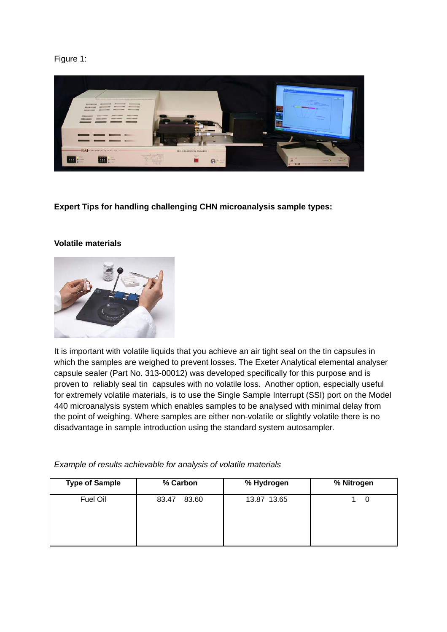### Figure 1:



**Expert Tips for handling challenging CHN microanalysis sample types:**

#### **Volatile materials**



It is important with volatile liquids that you achieve an air tight seal on the tin capsules in which the samples are weighed to prevent losses. The Exeter Analytical elemental analyser capsule sealer (Part No. 313-00012) was developed specifically for this purpose and is proven to reliably seal tin capsules with no volatile loss. Another option, especially useful for extremely volatile materials, is to use the Single Sample Interrupt (SSI) port on the Model 440 microanalysis system which enables samples to be analysed with minimal delay from the point of weighing. Where samples are either non-volatile or slightly volatile there is no disadvantage in sample introduction using the standard system autosampler.

| <b>Type of Sample</b> | % Carbon       | % Hydrogen  | % Nitrogen |
|-----------------------|----------------|-------------|------------|
| Fuel Oil              | 83.60<br>83.47 | 13.87 13.65 | 0          |

*Example of results achievable for analysis of volatile materials*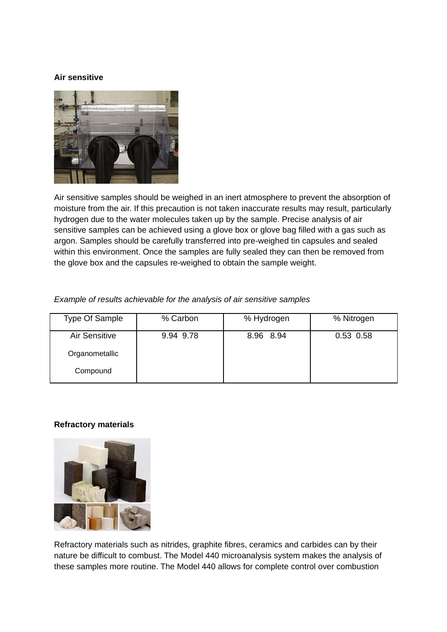#### **Air sensitive**



Air sensitive samples should be weighed in an inert atmosphere to prevent the absorption of moisture from the air. If this precaution is not taken inaccurate results may result, particularly hydrogen due to the water molecules taken up by the sample. Precise analysis of air sensitive samples can be achieved using a glove box or glove bag filled with a gas such as argon. Samples should be carefully transferred into pre-weighed tin capsules and sealed within this environment. Once the samples are fully sealed they can then be removed from the glove box and the capsules re-weighed to obtain the sample weight.

#### *Example of results achievable for the analysis of air sensitive samples*

| <b>Type Of Sample</b> | % Carbon  | % Hydrogen | % Nitrogen |
|-----------------------|-----------|------------|------------|
| <b>Air Sensitive</b>  | 9.94 9.78 | 8.96 8.94  | 0.53 0.58  |
| Organometallic        |           |            |            |
| Compound              |           |            |            |

## **Refractory materials**



Refractory materials such as nitrides, graphite fibres, ceramics and carbides can by their nature be difficult to combust. The Model 440 microanalysis system makes the analysis of these samples more routine. The Model 440 allows for complete control over combustion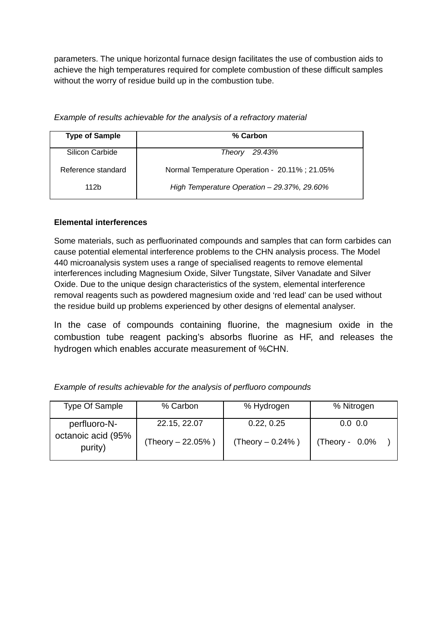parameters. The unique horizontal furnace design facilitates the use of combustion aids to achieve the high temperatures required for complete combustion of these difficult samples without the worry of residue build up in the combustion tube.

| <b>Type of Sample</b> | % Carbon                                      |
|-----------------------|-----------------------------------------------|
| Silicon Carbide       | 29.43%<br><b>Theory</b>                       |
| Reference standard    | Normal Temperature Operation - 20.11%; 21.05% |
| 112 <sub>b</sub>      | High Temperature Operation - 29.37%, 29.60%   |

*Example of results achievable for the analysis of a refractory material*

## **Elemental interferences**

Some materials, such as perfluorinated compounds and samples that can form carbides can cause potential elemental interference problems to the CHN analysis process. The Model 440 microanalysis system uses a range of specialised reagents to remove elemental interferences including Magnesium Oxide, Silver Tungstate, Silver Vanadate and Silver Oxide. Due to the unique design characteristics of the system, elemental interference removal reagents such as powdered magnesium oxide and 'red lead' can be used without the residue build up problems experienced by other designs of elemental analyser.

In the case of compounds containing fluorine, the magnesium oxide in the combustion tube reagent packing's absorbs fluorine as HF, and releases the hydrogen which enables accurate measurement of %CHN.

| <b>Type Of Sample</b>                         | % Carbon                            | % Hydrogen                       | % Nitrogen                   |
|-----------------------------------------------|-------------------------------------|----------------------------------|------------------------------|
| perfluoro-N-<br>octanoic acid (95%<br>purity) | 22.15, 22.07<br>(Theory $-22.05%$ ) | 0.22, 0.25<br>(Theory $-0.24%$ ) | 0.0 0.0<br>(Theory - $0.0\%$ |
|                                               |                                     |                                  |                              |

*Example of results achievable for the analysis of perfluoro compounds*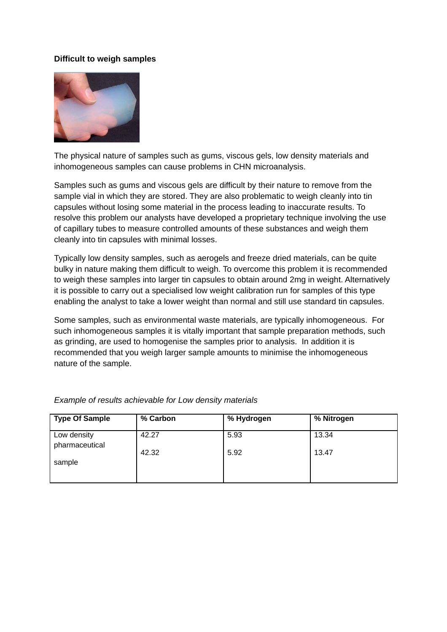#### **Difficult to weigh samples**



The physical nature of samples such as gums, viscous gels, low density materials and inhomogeneous samples can cause problems in CHN microanalysis.

Samples such as gums and viscous gels are difficult by their nature to remove from the sample vial in which they are stored. They are also problematic to weigh cleanly into tin capsules without losing some material in the process leading to inaccurate results. To resolve this problem our analysts have developed a proprietary technique involving the use of capillary tubes to measure controlled amounts of these substances and weigh them cleanly into tin capsules with minimal losses.

Typically low density samples, such as aerogels and freeze dried materials, can be quite bulky in nature making them difficult to weigh. To overcome this problem it is recommended to weigh these samples into larger tin capsules to obtain around 2mg in weight. Alternatively it is possible to carry out a specialised low weight calibration run for samples of this type enabling the analyst to take a lower weight than normal and still use standard tin capsules.

Some samples, such as environmental waste materials, are typically inhomogeneous. For such inhomogeneous samples it is vitally important that sample preparation methods, such as grinding, are used to homogenise the samples prior to analysis. In addition it is recommended that you weigh larger sample amounts to minimise the inhomogeneous nature of the sample.

| <b>Type Of Sample</b>         | % Carbon | % Hydrogen | % Nitrogen |
|-------------------------------|----------|------------|------------|
| Low density<br>pharmaceutical | 42.27    | 5.93       | 13.34      |
|                               | 42.32    | 5.92       | 13.47      |
| sample                        |          |            |            |
|                               |          |            |            |

*Example of results achievable for Low density materials*